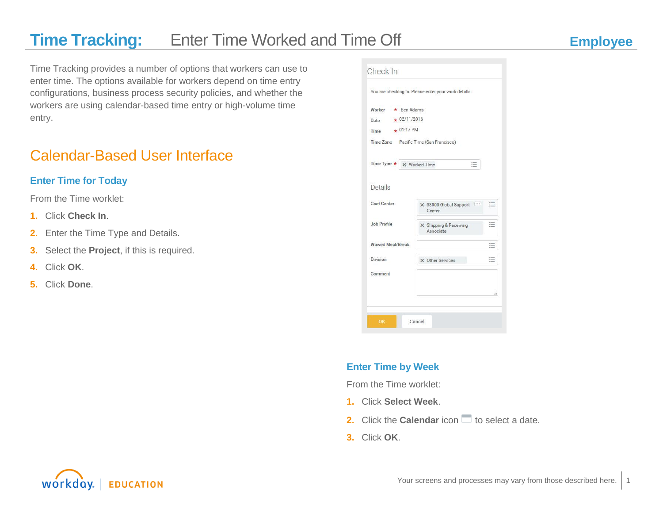Time Tracking provides a number of options that workers can use to enter time. The options available for workers depend on time entry configurations, business process security policies, and whether the workers are using calendar-based time entry or high-volume time entry.

### Calendar-Based User Interface

### **Enter Time for Today**

From the Time worklet:

- **1.** Click **Check In**.
- **2.** Enter the Time Type and Details.
- **3.** Select the **Project**, if this is required.
- **4.** Click **OK**.
- **5.** Click **Done**.

|                                        | You are checking in. Please enter your work details. |     |
|----------------------------------------|------------------------------------------------------|-----|
| Worker $\star$ Ben Adams               |                                                      |     |
| $\star$ 02/11/2016<br>Date             |                                                      |     |
| $+01:17$ PM<br>Time                    |                                                      |     |
| Time Zone Pacific Time (San Francisco) |                                                      |     |
| Time Type $\star \times$ Worked Time   |                                                      |     |
|                                        |                                                      |     |
| Details                                |                                                      |     |
| Cost Center                            | X 33000 Global Support<br>Center                     | 這   |
| Job Profile                            | X Shipping & Receiving<br>Associate                  | $=$ |
| <b>Waived Meal/Break</b>               |                                                      | ≔   |
| Division                               | X Other Services                                     | 這   |
| Comment                                |                                                      |     |
|                                        |                                                      |     |
|                                        |                                                      | зĭ. |

#### **Enter Time by Week**

From the Time worklet:

- **1.** Click **Select Week**.
- **2.** Click the **Calendar** icon **the select a date.**
- **3.** Click **OK**.

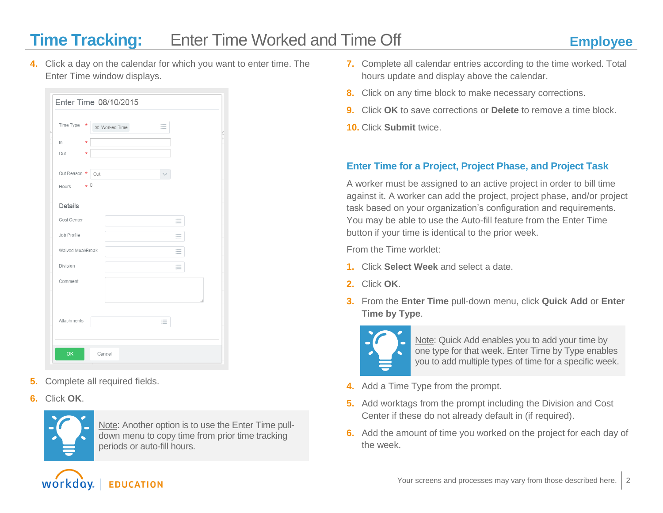**4.** Click a day on the calendar for which you want to enter time. The Enter Time window displays.

|                   | Enter Time 08/10/2015    |   |
|-------------------|--------------------------|---|
| Time Type         | $\star$<br>X Worked Time | 這 |
| In                | $\star$                  |   |
| Out               | $\star$                  |   |
| Out Reason * Out  |                          |   |
| Hours $\star$ 0   |                          |   |
| Details           |                          |   |
| Cost Center       |                          | 這 |
| Job Profile       |                          | 這 |
| Waived Meal/Break |                          | 這 |
| Division          |                          | 這 |
| Comment           |                          |   |
| Attachments       |                          | 三 |
| OK                | Cancel                   |   |

- **5.** Complete all required fields.
- **6.** Click **OK**.



Note: Another option is to use the Enter Time pulldown menu to copy time from prior time tracking periods or auto-fill hours.

- **7.** Complete all calendar entries according to the time worked. Total hours update and display above the calendar.
- **8.** Click on any time block to make necessary corrections.
- **9.** Click **OK** to save corrections or **Delete** to remove a time block.
- **10.** Click **Submit** twice.

#### **Enter Time for a Project, Project Phase, and Project Task**

A worker must be assigned to an active project in order to bill time against it. A worker can add the project, project phase, and/or project task based on your organization's configuration and requirements. You may be able to use the Auto-fill feature from the Enter Time button if your time is identical to the prior week.

From the Time worklet:

- **1.** Click **Select Week** and select a date.
- **2.** Click **OK**.
- **3.** From the **Enter Time** pull-down menu, click **Quick Add** or **Enter Time by Type**.



Note: Quick Add enables you to add your time by one type for that week. Enter Time by Type enables you to add multiple types of time for a specific week.

- **4.** Add a Time Type from the prompt.
- **5.** Add worktags from the prompt including the Division and Cost Center if these do not already default in (if required).
- **6.** Add the amount of time you worked on the project for each day of the week.

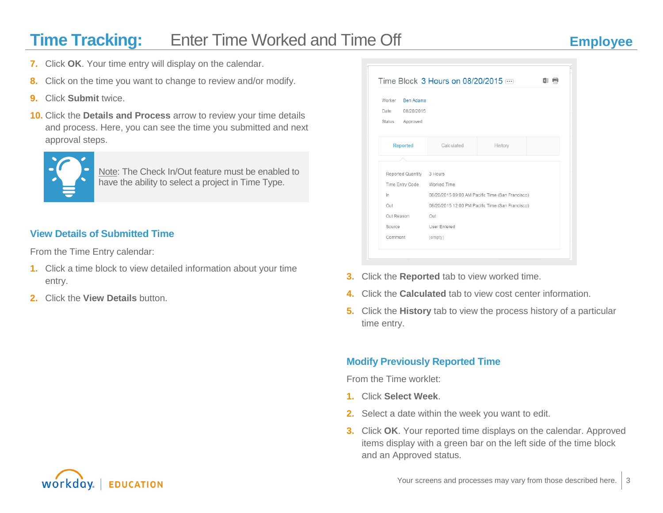- **7.** Click **OK**. Your time entry will display on the calendar.
- **8.** Click on the time you want to change to review and/or modify.
- **9.** Click **Submit** twice.
- **10.** Click the **Details and Process** arrow to review your time details and process. Here, you can see the time you submitted and next approval steps.



Note: The Check In/Out feature must be enabled to have the ability to select a project in Time Type.

#### **View Details of Submitted Time**

From the Time Entry calendar:

- **1.** Click a time block to view detailed information about your time entry.
- **2.** Click the **View Details** button.

| Worker <b>Ben Adams</b><br>Date<br>08/20/2015<br>Status Approved |                                                  |         |  |
|------------------------------------------------------------------|--------------------------------------------------|---------|--|
| <b>Reported</b>                                                  | Calculated                                       | History |  |
|                                                                  |                                                  |         |  |
| Reported Quantity 3 Hours                                        |                                                  |         |  |
| Time Entry Code Worked Time                                      |                                                  |         |  |
| In.                                                              | 08/20/2015 09:00 AM Pacific Time (San Francisco) |         |  |
| Out                                                              | 08/20/2015 12:00 PM Pacific Time (San Francisco) |         |  |
| Out Reason                                                       | Out                                              |         |  |
| Source                                                           | User Entered                                     |         |  |
| Comment                                                          | (empty)                                          |         |  |

- **3.** Click the **Reported** tab to view worked time.
- **4.** Click the **Calculated** tab to view cost center information.
- **5.** Click the **History** tab to view the process history of a particular time entry.

### **Modify Previously Reported Time**

From the Time worklet:

- **1.** Click **Select Week**.
- **2.** Select a date within the week you want to edit.
- **3.** Click **OK**. Your reported time displays on the calendar. Approved items display with a green bar on the left side of the time block and an Approved status.

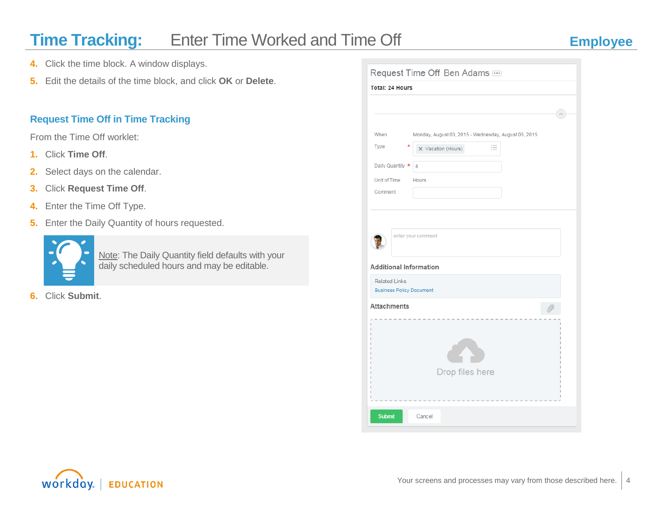- **4.** Click the time block. A window displays.
- **5.** Edit the details of the time block, and click **OK** or **Delete**.

#### **Request Time Off in Time Tracking**

From the Time Off worklet:

- **1.** Click **Time Off**.
- **2.** Select days on the calendar.
- **3.** Click **Request Time Off**.
- **4.** Enter the Time Off Type.
- **5.** Enter the Daily Quantity of hours requested.



Note: The Daily Quantity field defaults with your daily scheduled hours and may be editable.

**6.** Click **Submit**.

|                                                         | Request Time Off Ben Adams                           |  |
|---------------------------------------------------------|------------------------------------------------------|--|
| Total: 24 Hours                                         |                                                      |  |
|                                                         |                                                      |  |
|                                                         |                                                      |  |
| When                                                    | Monday, August 03, 2015 - Wednesday, August 05, 2015 |  |
| Type                                                    | 這<br>X Vacation (Hours)                              |  |
| Daily Quantity *                                        | 8                                                    |  |
| Unit of Time                                            |                                                      |  |
| Comment                                                 | Hours                                                |  |
|                                                         |                                                      |  |
|                                                         |                                                      |  |
|                                                         | enter your comment                                   |  |
|                                                         |                                                      |  |
|                                                         |                                                      |  |
| <b>Additional Information</b>                           |                                                      |  |
| <b>Related Links</b><br><b>Business Policy Document</b> |                                                      |  |
| <b>Attachments</b>                                      |                                                      |  |
|                                                         |                                                      |  |
|                                                         |                                                      |  |
|                                                         |                                                      |  |
|                                                         |                                                      |  |
|                                                         | Drop files here                                      |  |
|                                                         |                                                      |  |
|                                                         |                                                      |  |
| <b>Submit</b>                                           | Cancel                                               |  |